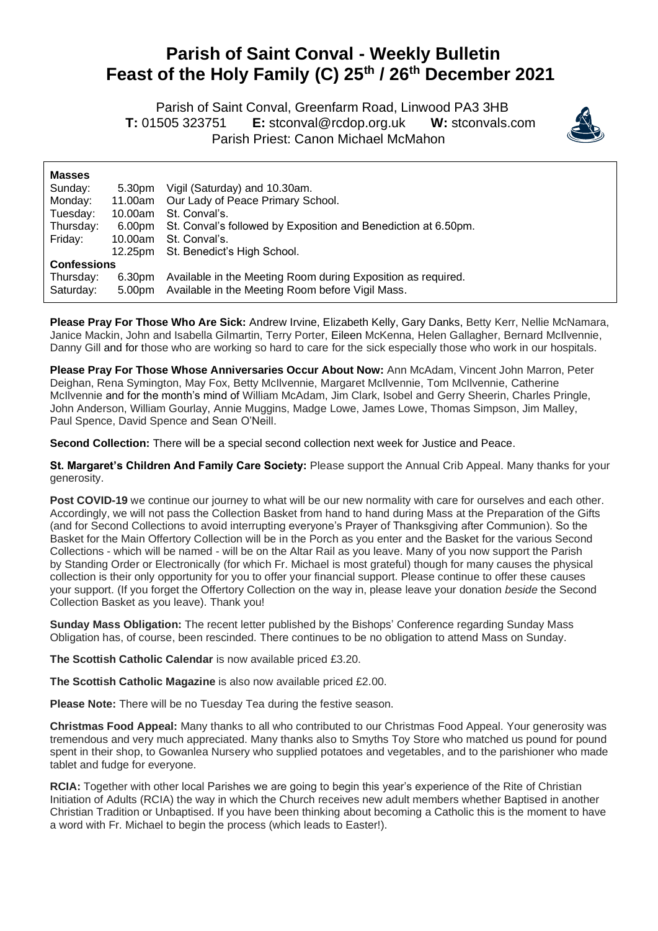## **Parish of Saint Conval - Weekly Bulletin Feast of the Holy Family (C) 25th / 26th December 2021**

 Parish of Saint Conval, Greenfarm Road, Linwood PA3 3HB **T:** 01505 323751 **E:** [stconval@rcdop.org.uk](mailto:stconval@rcdop.org.uk) **W:** stconvals.com Parish Priest: Canon Michael McMahon



| <b>Masses</b>      |         |                                                                |  |
|--------------------|---------|----------------------------------------------------------------|--|
| Sunday:            | 5.30pm  | Vigil (Saturday) and 10.30am.                                  |  |
| Monday:            | 11.00am | Our Lady of Peace Primary School.                              |  |
| Tuesday:           | 10.00am | St. Conval's.                                                  |  |
| Thursday:          | 6.00pm  | St. Conval's followed by Exposition and Benediction at 6.50pm. |  |
| Friday:            | 10.00am | St. Conval's.                                                  |  |
|                    | 12.25pm | St. Benedict's High School.                                    |  |
| <b>Confessions</b> |         |                                                                |  |
| Thursday:          | 6.30pm  | Available in the Meeting Room during Exposition as required.   |  |
| Saturday:          | 5.00pm  | Available in the Meeting Room before Vigil Mass.               |  |

**Please Pray For Those Who Are Sick:** Andrew Irvine, Elizabeth Kelly, Gary Danks, Betty Kerr, Nellie McNamara, Janice Mackin, John and Isabella Gilmartin, Terry Porter, Eileen McKenna, Helen Gallagher, Bernard McIlvennie, Danny Gill and for those who are working so hard to care for the sick especially those who work in our hospitals.

**Please Pray For Those Whose Anniversaries Occur About Now:** Ann McAdam, Vincent John Marron, Peter Deighan, Rena Symington, May Fox, Betty McIlvennie, Margaret McIlvennie, Tom McIlvennie, Catherine McIlvennie and for the month's mind of William McAdam, Jim Clark, Isobel and Gerry Sheerin, Charles Pringle, John Anderson, William Gourlay, Annie Muggins, Madge Lowe, James Lowe, Thomas Simpson, Jim Malley, Paul Spence, David Spence and Sean O'Neill.

**Second Collection:** There will be a special second collection next week for Justice and Peace.

**St. Margaret's Children And Family Care Society:** Please support the Annual Crib Appeal. Many thanks for your generosity.

Post COVID-19 we continue our journey to what will be our new normality with care for ourselves and each other. Accordingly, we will not pass the Collection Basket from hand to hand during Mass at the Preparation of the Gifts (and for Second Collections to avoid interrupting everyone's Prayer of Thanksgiving after Communion). So the Basket for the Main Offertory Collection will be in the Porch as you enter and the Basket for the various Second Collections - which will be named - will be on the Altar Rail as you leave. Many of you now support the Parish by Standing Order or Electronically (for which Fr. Michael is most grateful) though for many causes the physical collection is their only opportunity for you to offer your financial support. Please continue to offer these causes your support. (If you forget the Offertory Collection on the way in, please leave your donation *beside* the Second Collection Basket as you leave). Thank you!

**Sunday Mass Obligation:** The recent letter published by the Bishops' Conference regarding Sunday Mass Obligation has, of course, been rescinded. There continues to be no obligation to attend Mass on Sunday.

**The Scottish Catholic Calendar** is now available priced £3.20.

**The Scottish Catholic Magazine** is also now available priced £2.00.

**Please Note:** There will be no Tuesday Tea during the festive season.

**Christmas Food Appeal:** Many thanks to all who contributed to our Christmas Food Appeal. Your generosity was tremendous and very much appreciated. Many thanks also to Smyths Toy Store who matched us pound for pound spent in their shop, to Gowanlea Nursery who supplied potatoes and vegetables, and to the parishioner who made tablet and fudge for everyone.

**RCIA:** Together with other local Parishes we are going to begin this year's experience of the Rite of Christian Initiation of Adults (RCIA) the way in which the Church receives new adult members whether Baptised in another Christian Tradition or Unbaptised. If you have been thinking about becoming a Catholic this is the moment to have a word with Fr. Michael to begin the process (which leads to Easter!).